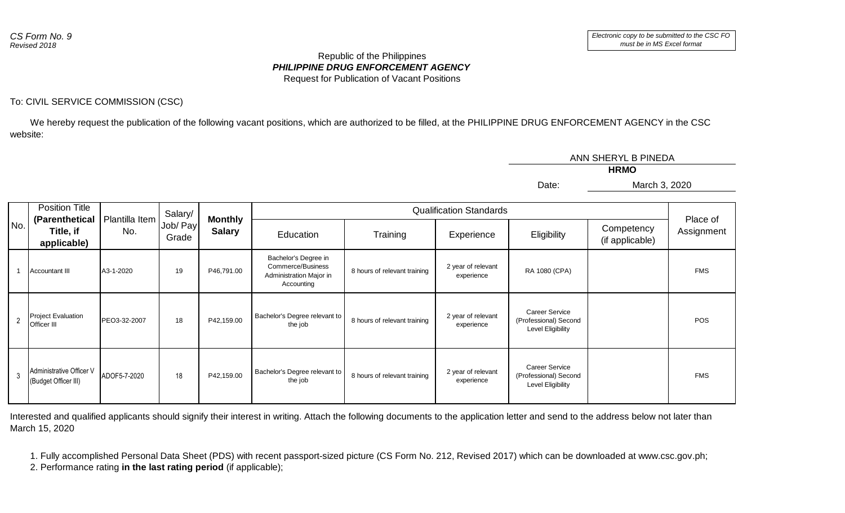## *PHILIPPINE DRUG ENFORCEMENT AGENCY* Republic of the Philippines Request for Publication of Vacant Positions

## To: CIVIL SERVICE COMMISSION (CSC)

 We hereby request the publication of the following vacant positions, which are authorized to be filled, at the PHILIPPINE DRUG ENFORCEMENT AGENCY in the CSC website:

|                |                                                  |                       |                   |                                 |                                                                                    |                              |                                  | ANN SHERYL B PINEDA                                                 |                               |                        |  |
|----------------|--------------------------------------------------|-----------------------|-------------------|---------------------------------|------------------------------------------------------------------------------------|------------------------------|----------------------------------|---------------------------------------------------------------------|-------------------------------|------------------------|--|
|                |                                                  |                       |                   |                                 |                                                                                    |                              |                                  |                                                                     |                               |                        |  |
|                |                                                  |                       |                   |                                 |                                                                                    |                              |                                  | Date:                                                               | March 3, 2020                 |                        |  |
|                |                                                  |                       |                   |                                 |                                                                                    |                              |                                  |                                                                     |                               |                        |  |
| No.            | <b>Position Title</b>                            |                       | Salary/           |                                 | <b>Qualification Standards</b>                                                     |                              |                                  |                                                                     |                               |                        |  |
|                | (Parenthetical<br>Title, if<br>applicable)       | Plantilla Item<br>No. | Job/ Pay<br>Grade | <b>Monthly</b><br><b>Salary</b> | Education                                                                          | Training                     | Experience                       | Eligibility                                                         | Competency<br>(if applicable) | Place of<br>Assignment |  |
|                | <b>Accountant III</b>                            | A3-1-2020             | 19                | P46,791.00                      | Bachelor's Degree in<br>Commerce/Business<br>Administration Major in<br>Accounting | 8 hours of relevant training | 2 year of relevant<br>experience | RA 1080 (CPA)                                                       |                               | <b>FMS</b>             |  |
| $\overline{2}$ | <b>Project Evaluation</b><br>Officer III         | PEO3-32-2007          | 18                | P42,159.00                      | Bachelor's Degree relevant to<br>the job                                           | 8 hours of relevant training | 2 year of relevant<br>experience | <b>Career Service</b><br>(Professional) Second<br>Level Eligibility |                               | <b>POS</b>             |  |
| 3              | Administrative Officer V<br>(Budget Officer III) | ADOF5-7-2020          | 18                | P42,159.00                      | Bachelor's Degree relevant to<br>the job                                           | 8 hours of relevant training | 2 year of relevant<br>experience | <b>Career Service</b><br>(Professional) Second<br>Level Eligibility |                               | <b>FMS</b>             |  |

Interested and qualified applicants should signify their interest in writing. Attach the following documents to the application letter and send to the address below not later than March 15, 2020

1. Fully accomplished Personal Data Sheet (PDS) with recent passport-sized picture (CS Form No. 212, Revised 2017) which can be downloaded at www.csc.gov.ph;

2. Performance rating **in the last rating period** (if applicable);